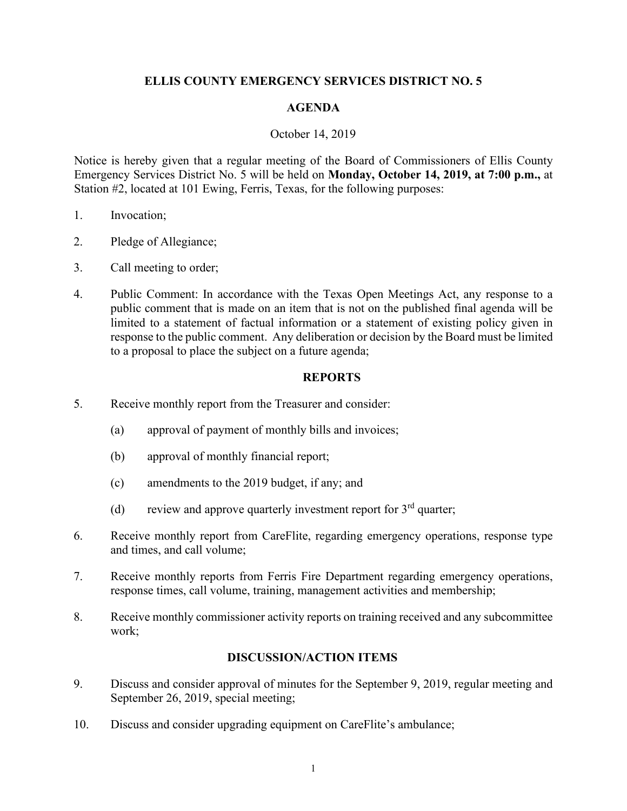# **ELLIS COUNTY EMERGENCY SERVICES DISTRICT NO. 5**

### **AGENDA**

#### October 14, 2019

Notice is hereby given that a regular meeting of the Board of Commissioners of Ellis County Emergency Services District No. 5 will be held on **Monday, October 14, 2019, at 7:00 p.m.,** at Station #2, located at 101 Ewing, Ferris, Texas, for the following purposes:

- 1. Invocation;
- 2. Pledge of Allegiance;
- 3. Call meeting to order;
- 4. Public Comment: In accordance with the Texas Open Meetings Act, any response to a public comment that is made on an item that is not on the published final agenda will be limited to a statement of factual information or a statement of existing policy given in response to the public comment. Any deliberation or decision by the Board must be limited to a proposal to place the subject on a future agenda;

# **REPORTS**

- 5. Receive monthly report from the Treasurer and consider:
	- (a) approval of payment of monthly bills and invoices;
	- (b) approval of monthly financial report;
	- (c) amendments to the 2019 budget, if any; and
	- (d) review and approve quarterly investment report for  $3<sup>rd</sup>$  quarter;
- 6. Receive monthly report from CareFlite, regarding emergency operations, response type and times, and call volume;
- 7. Receive monthly reports from Ferris Fire Department regarding emergency operations, response times, call volume, training, management activities and membership;
- 8. Receive monthly commissioner activity reports on training received and any subcommittee work;

# **DISCUSSION/ACTION ITEMS**

- 9. Discuss and consider approval of minutes for the September 9, 2019, regular meeting and September 26, 2019, special meeting;
- 10. Discuss and consider upgrading equipment on CareFlite's ambulance;